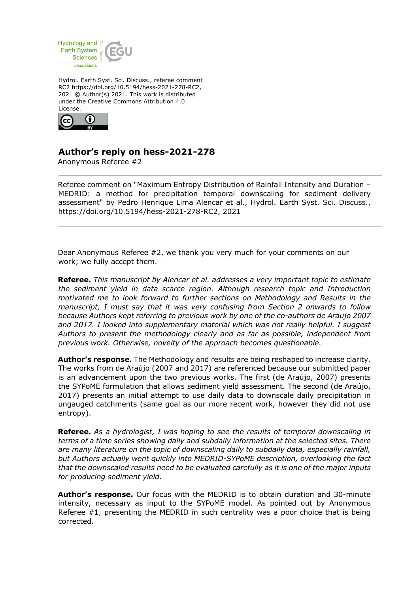

Hydrol. Earth Syst. Sci. Discuss., referee comment RC2 https://doi.org/10.5194/hess-2021-278-RC2, 2021 © Author(s) 2021. This work is distributed under the Creative Commons Attribution 4.0 License.



## **Author's reply on hess-2021-278**

Anonymous Referee #2

Referee comment on "Maximum Entropy Distribution of Rainfall Intensity and Duration – MEDRID: a method for precipitation temporal downscaling for sediment delivery assessment" by Pedro Henrique Lima Alencar et al., Hydrol. Earth Syst. Sci. Discuss., https://doi.org/10.5194/hess-2021-278-RC2, 2021

Dear Anonymous Referee #2, we thank you very much for your comments on our work; we fully accept them.

**Referee.** *This manuscript by Alencar et al. addresses a very important topic to estimate the sediment yield in data scarce region. Although research topic and Introduction motivated me to look forward to further sections on Methodology and Results in the manuscript, I must say that it was very confusing from Section 2 onwards to follow because Authors kept referring to previous work by one of the co-authors de Araujo 2007 and 2017. I looked into supplementary material which was not really helpful. I suggest Authors to present the methodology clearly and as far as possible, independent from previous work. Otherwise, novelty of the approach becomes questionable.* 

**Author's response.** The Methodology and results are being reshaped to increase clarity. The works from de Araújo (2007 and 2017) are referenced because our submitted paper is an advancement upon the two previous works. The first (de Araújo, 2007) presents the SYPoME formulation that allows sediment yield assessment. The second (de Araújo, 2017) presents an initial attempt to use daily data to downscale daily precipitation in ungauged catchments (same goal as our more recent work, however they did not use entropy).

**Referee.** *As a hydrologist, I was hoping to see the results of temporal downscaling in terms of a time series showing daily and subdaily information at the selected sites. There are many literature on the topic of downscaling daily to subdaily data, especially rainfall, but Authors actually went quickly into MEDRID-SYPoME description, overlooking the fact that the downscaled results need to be evaluated carefully as it is one of the major inputs for producing sediment yield.* 

**Author's response.** Our focus with the MEDRID is to obtain duration and 30-minute intensity, necessary as input to the SYPoME model. As pointed out by Anonymous Referee #1, presenting the MEDRID in such centrality was a poor choice that is being corrected.